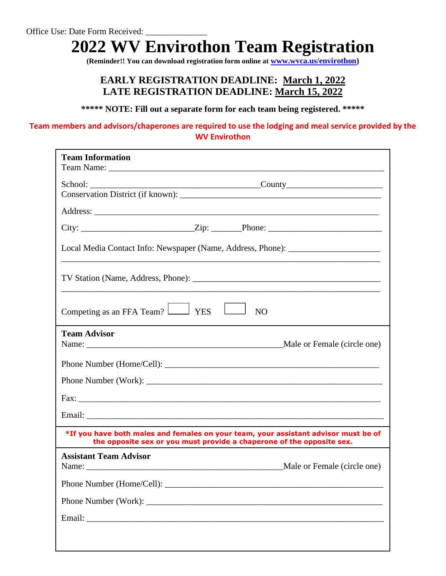# **2022 WV Envirothon Team Registration**

**(Reminder!! You can download registration form online at [www.wvca.us/envirothon\)](http://www.wvca.us/envirothon)**

### **EARLY REGISTRATION DEADLINE: March 1, 2022 LATE REGISTRATION DEADLINE: March 15, 2022**

**\*\*\*\*\* NOTE: Fill out a separate form for each team being registered. \*\*\*\*\***

#### **Team members and advisors/chaperones are required to use the lodging and meal service provided by the WV Envirothon**

| <b>Team Information</b>                                                                                                                                      |  |  |  |  |  |
|--------------------------------------------------------------------------------------------------------------------------------------------------------------|--|--|--|--|--|
| School: County County                                                                                                                                        |  |  |  |  |  |
|                                                                                                                                                              |  |  |  |  |  |
|                                                                                                                                                              |  |  |  |  |  |
| Local Media Contact Info: Newspaper (Name, Address, Phone): ____________________                                                                             |  |  |  |  |  |
|                                                                                                                                                              |  |  |  |  |  |
| Competing as an FFA Team? $\Box$ YES $\Box$<br>N <sub>O</sub>                                                                                                |  |  |  |  |  |
| <b>Team Advisor</b>                                                                                                                                          |  |  |  |  |  |
|                                                                                                                                                              |  |  |  |  |  |
|                                                                                                                                                              |  |  |  |  |  |
|                                                                                                                                                              |  |  |  |  |  |
|                                                                                                                                                              |  |  |  |  |  |
| *If you have both males and females on your team, your assistant advisor must be of<br>the opposite sex or you must provide a chaperone of the opposite sex. |  |  |  |  |  |
| <b>Assistant Team Advisor</b><br>Male or Female (circle one)                                                                                                 |  |  |  |  |  |
|                                                                                                                                                              |  |  |  |  |  |
|                                                                                                                                                              |  |  |  |  |  |
|                                                                                                                                                              |  |  |  |  |  |
|                                                                                                                                                              |  |  |  |  |  |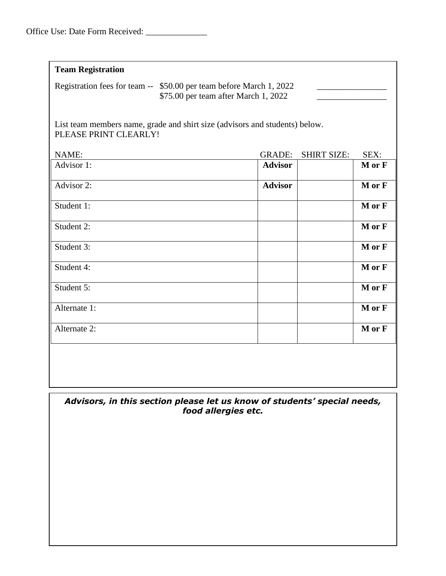| Office Use: Date Form Received: |  |
|---------------------------------|--|
|---------------------------------|--|

| <b>Team Registration</b>                                                                                    |                |                    |        |  |  |  |  |  |  |
|-------------------------------------------------------------------------------------------------------------|----------------|--------------------|--------|--|--|--|--|--|--|
|                                                                                                             |                |                    |        |  |  |  |  |  |  |
| Registration fees for team -- \$50.00 per team before March 1, 2022<br>\$75.00 per team after March 1, 2022 |                |                    |        |  |  |  |  |  |  |
| List team members name, grade and shirt size (advisors and students) below.<br>PLEASE PRINT CLEARLY!        |                |                    |        |  |  |  |  |  |  |
| NAME:                                                                                                       | <b>GRADE:</b>  | <b>SHIRT SIZE:</b> | SEX:   |  |  |  |  |  |  |
| Advisor 1:                                                                                                  | <b>Advisor</b> |                    | M or F |  |  |  |  |  |  |
| Advisor 2:                                                                                                  | <b>Advisor</b> |                    | M or F |  |  |  |  |  |  |
| Student 1:                                                                                                  |                |                    | M or F |  |  |  |  |  |  |
| Student 2:                                                                                                  |                |                    | M or F |  |  |  |  |  |  |
| Student 3:                                                                                                  |                |                    | M or F |  |  |  |  |  |  |
| Student 4:                                                                                                  |                |                    | M or F |  |  |  |  |  |  |
| Student 5:                                                                                                  |                |                    | M or F |  |  |  |  |  |  |
| Alternate 1:                                                                                                |                |                    | M or F |  |  |  |  |  |  |
| Alternate 2:                                                                                                |                |                    | M or F |  |  |  |  |  |  |
|                                                                                                             |                |                    |        |  |  |  |  |  |  |

#### *Advisors, in this section please let us know of students' special needs, food allergies etc.*